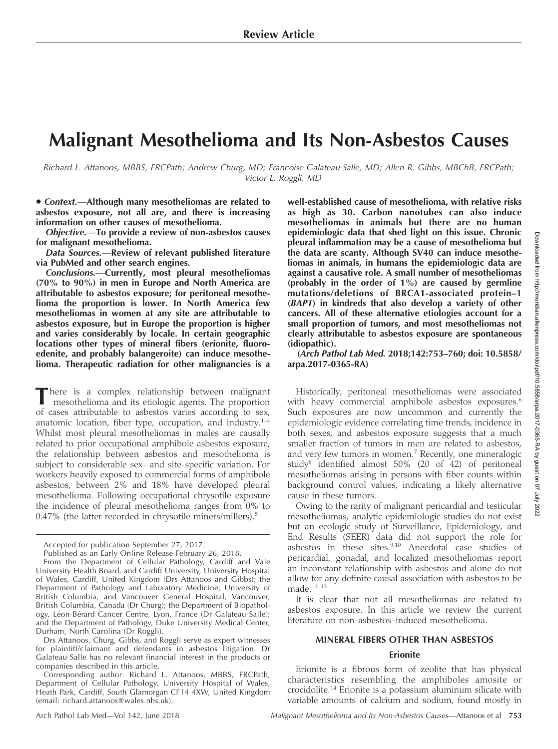# Malignant Mesothelioma and Its Non-Asbestos Causes

Richard L. Attanoos, MBBS, FRCPath; Andrew Churg, MD; Francoise Galateau-Salle, MD; Allen R. Gibbs, MBChB, FRCPath; Victor L. Roggli, MD

• Context.-Although many mesotheliomas are related to asbestos exposure, not all are, and there is increasing information on other causes of mesothelioma.

Objective.—To provide a review of non-asbestos causes for malignant mesothelioma.

Data Sources.—Review of relevant published literature via PubMed and other search engines.

Conclusions.—Currently, most pleural mesotheliomas (70% to 90%) in men in Europe and North America are attributable to asbestos exposure; for peritoneal mesothelioma the proportion is lower. In North America few mesotheliomas in women at any site are attributable to asbestos exposure, but in Europe the proportion is higher and varies considerably by locale. In certain geographic locations other types of mineral fibers (erionite, fluoroedenite, and probably balangeroite) can induce mesothelioma. Therapeutic radiation for other malignancies is a

There is a complex relationship between malignant mesothelioma and its etiologic agents. The proportion of cases attributable to asbestos varies according to sex, anatomic location, fiber type, occupation, and industry.<sup>1-4</sup> Whilst most pleural mesotheliomas in males are causally related to prior occupational amphibole asbestos exposure, the relationship between asbestos and mesothelioma is subject to considerable sex- and site-specific variation. For workers heavily exposed to commercial forms of amphibole asbestos, between 2% and 18% have developed pleural mesothelioma. Following occupational chrysotile exposure the incidence of pleural mesothelioma ranges from 0% to 0.47% (the latter recorded in chrysotile miners/millers).<sup>5</sup>

well-established cause of mesothelioma, with relative risks as high as 30. Carbon nanotubes can also induce mesotheliomas in animals but there are no human epidemiologic data that shed light on this issue. Chronic pleural inflammation may be a cause of mesothelioma but the data are scanty. Although SV40 can induce mesotheliomas in animals, in humans the epidemiologic data are against a causative role. A small number of mesotheliomas (probably in the order of 1%) are caused by germline mutations/deletions of BRCA1-associated protein-1 (BAP1) in kindreds that also develop a variety of other cancers. All of these alternative etiologies account for a small proportion of tumors, and most mesotheliomas not clearly attributable to asbestos exposure are spontaneous (idiopathic).

(Arch Pathol Lab Med. 2018;142:753–760; doi: 10.5858/ arpa.2017-0365-RA)

Historically, peritoneal mesotheliomas were associated with heavy commercial amphibole asbestos exposures.<sup>6</sup> Such exposures are now uncommon and currently the epidemiologic evidence correlating time trends, incidence in both sexes, and asbestos exposure suggests that a much smaller fraction of tumors in men are related to asbestos, and very few tumors in women.<sup>7</sup> Recently, one mineralogic study8 identified almost 50% (20 of 42) of peritoneal mesotheliomas arising in persons with fiber counts within background control values, indicating a likely alternative cause in these tumors.

Owing to the rarity of malignant pericardial and testicular mesotheliomas, analytic epidemiologic studies do not exist but an ecologic study of Surveillance, Epidemiology, and End Results (SEER) data did not support the role for asbestos in these sites.<sup>9,10</sup> Anecdotal case studies of pericardial, gonadal, and localized mesotheliomas report an inconstant relationship with asbestos and alone do not allow for any definite causal association with asbestos to be  $\rm made.^{\rm 11-13}$ 

It is clear that not all mesotheliomas are related to asbestos exposure. In this article we review the current literature on non-asbestos–induced mesothelioma.

## MINERAL FIBERS OTHER THAN ASBESTOS

# Erionite

Erionite is a fibrous form of zeolite that has physical characteristics resembling the amphiboles amosite or crocidolite.<sup>14</sup> Erionite is a potassium aluminum silicate with variable amounts of calcium and sodium, found mostly in

Accepted for publication September 27, 2017.

Published as an Early Online Release February 26, 2018.

From the Department of Cellular Pathology, Cardiff and Vale University Health Board, and Cardiff University, University Hospital of Wales, Cardiff, United Kingdom (Drs Attanoos and Gibbs); the Department of Pathology and Laboratory Medicine, University of British Columbia, and Vancouver General Hospital, Vancouver, British Columbia, Canada (Dr Churg); the Department of Biopathology, Léon-Bérard Cancer Centre, Lyon, France (Dr Galateau-Salle); and the Department of Pathology, Duke University Medical Center, Durham, North Carolina (Dr Roggli).

Drs Attanoos, Churg, Gibbs, and Roggli serve as expert witnesses for plaintiff/claimant and defendants in asbestos litigation. Dr Galateau-Salle has no relevant financial interest in the products or companies described in this article.

Corresponding author: Richard L. Attanoos, MBBS, FRCPath, Department of Cellular Pathology, University Hospital of Wales, Heath Park, Cardiff, South Glamorgan CF14 4XW, United Kingdom (email: [richard.attanoos@wales.nhs.uk\)](mailto:richard.attanoos@wales.nhs.uk).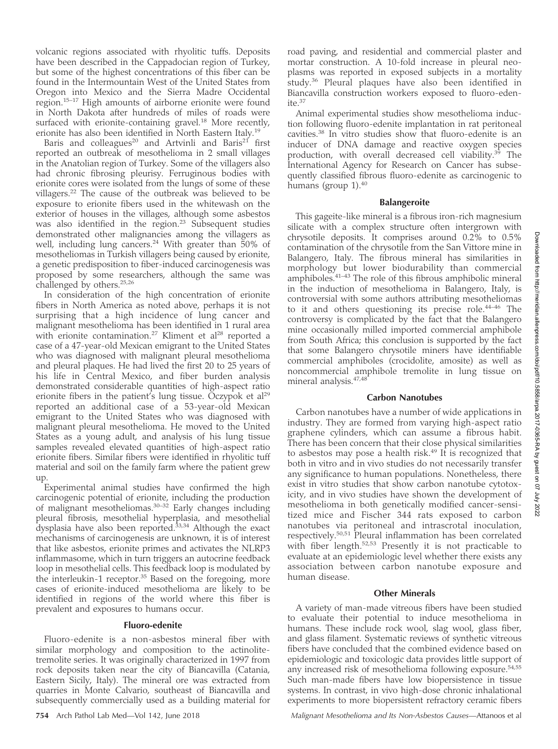volcanic regions associated with rhyolitic tuffs. Deposits have been described in the Cappadocian region of Turkey, but some of the highest concentrations of this fiber can be found in the Intermountain West of the United States from Oregon into Mexico and the Sierra Madre Occidental region.15–17 High amounts of airborne erionite were found in North Dakota after hundreds of miles of roads were surfaced with erionite-containing gravel.<sup>18</sup> More recently, erionite has also been identified in North Eastern Italy.19

Baris and colleagues<sup>20</sup> and Artvinli and Baris<sup>21</sup> first reported an outbreak of mesothelioma in 2 small villages in the Anatolian region of Turkey. Some of the villagers also had chronic fibrosing pleurisy. Ferruginous bodies with erionite cores were isolated from the lungs of some of these villagers.22 The cause of the outbreak was believed to be exposure to erionite fibers used in the whitewash on the exterior of houses in the villages, although some asbestos was also identified in the region.<sup>23</sup> Subsequent studies demonstrated other malignancies among the villagers as well, including lung cancers.<sup>24</sup> With greater than 50% of mesotheliomas in Turkish villagers being caused by erionite, a genetic predisposition to fiber-induced carcinogenesis was proposed by some researchers, although the same was challenged by others.25,26

In consideration of the high concentration of erionite fibers in North America as noted above, perhaps it is not surprising that a high incidence of lung cancer and malignant mesothelioma has been identified in 1 rural area with erionite contamination.<sup>27</sup> Kliment et al<sup>28</sup> reported a case of a 47-year-old Mexican emigrant to the United States who was diagnosed with malignant pleural mesothelioma and pleural plaques. He had lived the first 20 to 25 years of his life in Central Mexico, and fiber burden analysis demonstrated considerable quantities of high-aspect ratio erionite fibers in the patient's lung tissue. Oczypok et  $al<sup>29</sup>$ reported an additional case of a 53-year-old Mexican emigrant to the United States who was diagnosed with malignant pleural mesothelioma. He moved to the United States as a young adult, and analysis of his lung tissue samples revealed elevated quantities of high-aspect ratio erionite fibers. Similar fibers were identified in rhyolitic tuff material and soil on the family farm where the patient grew up.

Experimental animal studies have confirmed the high carcinogenic potential of erionite, including the production of malignant mesotheliomas.<sup>30–32</sup> Early changes including pleural fibrosis, mesothelial hyperplasia, and mesothelial dysplasia have also been reported. $33,34$  Although the exact mechanisms of carcinogenesis are unknown, it is of interest that like asbestos, erionite primes and activates the NLRP3 inflammasome, which in turn triggers an autocrine feedback loop in mesothelial cells. This feedback loop is modulated by the interleukin-1 receptor.<sup>35</sup> Based on the foregoing, more cases of erionite-induced mesothelioma are likely to be identified in regions of the world where this fiber is prevalent and exposures to humans occur.

# Fluoro-edenite

Fluoro-edenite is a non-asbestos mineral fiber with similar morphology and composition to the actinolitetremolite series. It was originally characterized in 1997 from rock deposits taken near the city of Biancavilla (Catania, Eastern Sicily, Italy). The mineral ore was extracted from quarries in Monte Calvario, southeast of Biancavilla and subsequently commercially used as a building material for

road paving, and residential and commercial plaster and mortar construction. A 10-fold increase in pleural neoplasms was reported in exposed subjects in a mortality study.<sup>36</sup> Pleural plaques have also been identified in Biancavilla construction workers exposed to fluoro-edenite.37

Animal experimental studies show mesothelioma induction following fluoro-edenite implantation in rat peritoneal cavities.<sup>38</sup> In vitro studies show that fluoro-edenite is an inducer of DNA damage and reactive oxygen species production, with overall decreased cell viability.<sup>39</sup> The International Agency for Research on Cancer has subsequently classified fibrous fluoro-edenite as carcinogenic to humans (group  $1$ ).<sup>40</sup>

# Balangeroite

This gageite-like mineral is a fibrous iron-rich magnesium silicate with a complex structure often intergrown with chrysotile deposits. It comprises around 0.2% to 0.5% contamination of the chrysotile from the San Vittore mine in Balangero, Italy. The fibrous mineral has similarities in morphology but lower biodurability than commercial amphiboles.41–43 The role of this fibrous amphibolic mineral in the induction of mesothelioma in Balangero, Italy, is controversial with some authors attributing mesotheliomas to it and others questioning its precise role.<sup>44-46</sup> The controversy is complicated by the fact that the Balangero mine occasionally milled imported commercial amphibole from South Africa; this conclusion is supported by the fact that some Balangero chrysotile miners have identifiable commercial amphiboles (crocidolite, amosite) as well as noncommercial amphibole tremolite in lung tissue on mineral analysis.47,48

# Carbon Nanotubes

Carbon nanotubes have a number of wide applications in industry. They are formed from varying high-aspect ratio graphene cylinders, which can assume a fibrous habit. There has been concern that their close physical similarities to asbestos may pose a health risk. $49$  It is recognized that both in vitro and in vivo studies do not necessarily transfer any significance to human populations. Nonetheless, there exist in vitro studies that show carbon nanotube cytotoxicity, and in vivo studies have shown the development of mesothelioma in both genetically modified cancer-sensitized mice and Fischer 344 rats exposed to carbon nanotubes via peritoneal and intrascrotal inoculation, respectively.<sup>50,51</sup> Pleural inflammation has been correlated with fiber length.<sup>52,53</sup> Presently it is not practicable to evaluate at an epidemiologic level whether there exists any association between carbon nanotube exposure and human disease.

# Other Minerals

A variety of man-made vitreous fibers have been studied to evaluate their potential to induce mesothelioma in humans. These include rock wool, slag wool, glass fiber, and glass filament. Systematic reviews of synthetic vitreous fibers have concluded that the combined evidence based on epidemiologic and toxicologic data provides little support of any increased risk of mesothelioma following exposure.<sup>54,55</sup> Such man-made fibers have low biopersistence in tissue systems. In contrast, in vivo high-dose chronic inhalational experiments to more biopersistent refractory ceramic fibers

754 Arch Pathol Lab Med—Vol 142, June 2018 Malignant Mesothelioma and Its Non-Asbestos Causes—Attanoos et al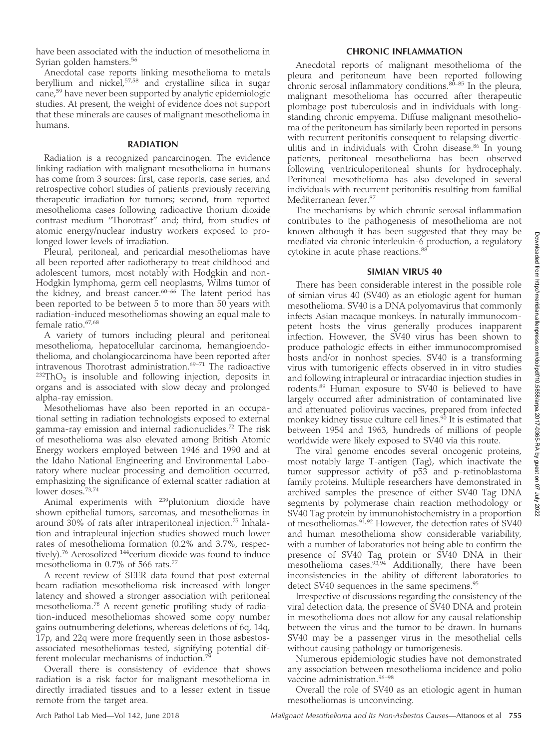have been associated with the induction of mesothelioma in Syrian golden hamsters.<sup>56</sup>

Anecdotal case reports linking mesothelioma to metals beryllium and nickel,57,58 and crystalline silica in sugar cane,<sup>59</sup> have never been supported by analytic epidemiologic studies. At present, the weight of evidence does not support that these minerals are causes of malignant mesothelioma in humans.

#### RADIATION

Radiation is a recognized pancarcinogen. The evidence linking radiation with malignant mesothelioma in humans has come from 3 sources: first, case reports, case series, and retrospective cohort studies of patients previously receiving therapeutic irradiation for tumors; second, from reported mesothelioma cases following radioactive thorium dioxide contrast medium ''Thorotrast'' and; third, from studies of atomic energy/nuclear industry workers exposed to prolonged lower levels of irradiation.

Pleural, peritoneal, and pericardial mesotheliomas have all been reported after radiotherapy to treat childhood and adolescent tumors, most notably with Hodgkin and non-Hodgkin lymphoma, germ cell neoplasms, Wilms tumor of the kidney, and breast cancer.<sup>60–66</sup> The latent period has been reported to be between 5 to more than 50 years with radiation-induced mesotheliomas showing an equal male to female ratio.<sup>67,68</sup>

A variety of tumors including pleural and peritoneal mesothelioma, hepatocellular carcinoma, hemangioendothelioma, and cholangiocarcinoma have been reported after intravenous Thorotrast administration.<sup>69-71</sup> The radioactive  $232ThO<sub>2</sub>$  is insoluble and following injection, deposits in organs and is associated with slow decay and prolonged alpha-ray emission.

Mesotheliomas have also been reported in an occupational setting in radiation technologists exposed to external gamma-ray emission and internal radionuclides.<sup>72</sup> The risk of mesothelioma was also elevated among British Atomic Energy workers employed between 1946 and 1990 and at the Idaho National Engineering and Environmental Laboratory where nuclear processing and demolition occurred, emphasizing the significance of external scatter radiation at lower doses.<sup>73,74</sup>

Animal experiments with <sup>239</sup>plutonium dioxide have shown epithelial tumors, sarcomas, and mesotheliomas in around 30% of rats after intraperitoneal injection.75 Inhalation and intrapleural injection studies showed much lower rates of mesothelioma formation (0.2% and 3.7%, respectively).<sup>76</sup> Aerosolized <sup>144</sup>cerium dioxide was found to induce mesothelioma in 0.7% of 566 rats.77

A recent review of SEER data found that post external beam radiation mesothelioma risk increased with longer latency and showed a stronger association with peritoneal mesothelioma.<sup>78</sup> A recent genetic profiling study of radiation-induced mesotheliomas showed some copy number gains outnumbering deletions, whereas deletions of 6q, 14q, 17p, and 22q were more frequently seen in those asbestosassociated mesotheliomas tested, signifying potential different molecular mechanisms of induction.<sup>7</sup>

Overall there is consistency of evidence that shows radiation is a risk factor for malignant mesothelioma in directly irradiated tissues and to a lesser extent in tissue remote from the target area.

#### CHRONIC INFLAMMATION

Anecdotal reports of malignant mesothelioma of the pleura and peritoneum have been reported following chronic serosal inflammatory conditions. $80-85$  In the pleura, malignant mesothelioma has occurred after therapeutic plombage post tuberculosis and in individuals with longstanding chronic empyema. Diffuse malignant mesothelioma of the peritoneum has similarly been reported in persons with recurrent peritonitis consequent to relapsing diverticulitis and in individuals with Crohn disease.<sup>86</sup> In young patients, peritoneal mesothelioma has been observed following ventriculoperitoneal shunts for hydrocephaly. Peritoneal mesothelioma has also developed in several individuals with recurrent peritonitis resulting from familial Mediterranean fever.87

The mechanisms by which chronic serosal inflammation contributes to the pathogenesis of mesothelioma are not known although it has been suggested that they may be mediated via chronic interleukin-6 production, a regulatory cytokine in acute phase reactions.<sup>88</sup>

### SIMIAN VIRUS 40

There has been considerable interest in the possible role of simian virus 40 (SV40) as an etiologic agent for human mesothelioma. SV40 is a DNA polyomavirus that commonly infects Asian macaque monkeys. In naturally immunocompetent hosts the virus generally produces inapparent infection. However, the SV40 virus has been shown to produce pathologic effects in either immunocompromised hosts and/or in nonhost species. SV40 is a transforming virus with tumorigenic effects observed in in vitro studies and following intrapleural or intracardiac injection studies in rodents.<sup>89</sup> Human exposure to SV40 is believed to have largely occurred after administration of contaminated live and attenuated poliovirus vaccines, prepared from infected monkey kidney tissue culture cell lines.<sup>90</sup> It is estimated that between 1954 and 1963, hundreds of millions of people worldwide were likely exposed to SV40 via this route.

The viral genome encodes several oncogenic proteins, most notably large T-antigen (Tag), which inactivate the tumor suppressor activity of p53 and p-retinoblastoma family proteins. Multiple researchers have demonstrated in archived samples the presence of either SV40 Tag DNA segments by polymerase chain reaction methodology or SV40 Tag protein by immunohistochemistry in a proportion of mesotheliomas.<sup>91,92</sup> However, the detection rates of SV40 and human mesothelioma show considerable variability, with a number of laboratories not being able to confirm the presence of SV40 Tag protein or SV40 DNA in their mesothelioma cases.<sup>93,94</sup> Additionally, there have been inconsistencies in the ability of different laboratories to detect SV40 sequences in the same specimens.<sup>95</sup>

Irrespective of discussions regarding the consistency of the viral detection data, the presence of SV40 DNA and protein in mesothelioma does not allow for any causal relationship between the virus and the tumor to be drawn. In humans SV40 may be a passenger virus in the mesothelial cells without causing pathology or tumorigenesis.

Numerous epidemiologic studies have not demonstrated any association between mesothelioma incidence and polio vaccine administration.<sup>96-98</sup>

Overall the role of SV40 as an etiologic agent in human mesotheliomas is unconvincing.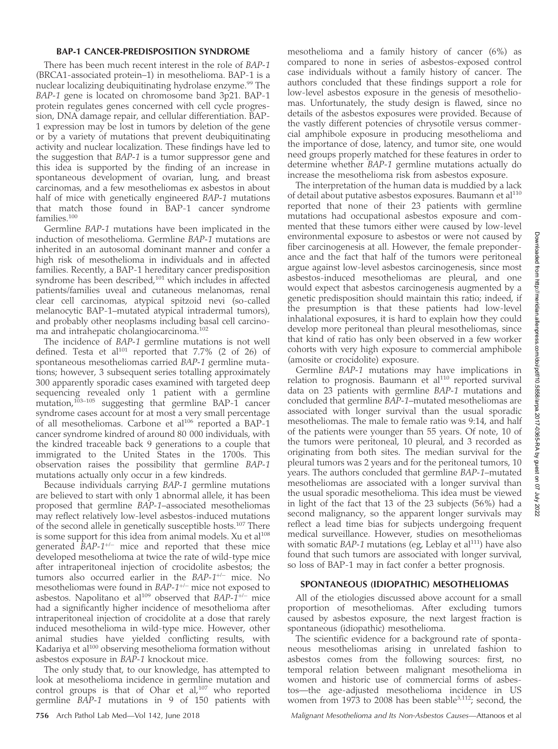## BAP-1 CANCER-PREDISPOSITION SYNDROME

There has been much recent interest in the role of BAP-1 (BRCA1-associated protein–1) in mesothelioma. BAP-1 is a nuclear localizing deubiquitinating hydrolase enzyme.<sup>99</sup> The BAP-1 gene is located on chromosome band 3p21. BAP-1 protein regulates genes concerned with cell cycle progression, DNA damage repair, and cellular differentiation. BAP-1 expression may be lost in tumors by deletion of the gene or by a variety of mutations that prevent deubiquitinating activity and nuclear localization. These findings have led to the suggestion that BAP-1 is a tumor suppressor gene and this idea is supported by the finding of an increase in spontaneous development of ovarian, lung, and breast carcinomas, and a few mesotheliomas ex asbestos in about half of mice with genetically engineered BAP-1 mutations that match those found in BAP-1 cancer syndrome families.<sup>100</sup>

Germline BAP-1 mutations have been implicated in the induction of mesothelioma. Germline BAP-1 mutations are inherited in an autosomal dominant manner and confer a high risk of mesothelioma in individuals and in affected families. Recently, a BAP-1 hereditary cancer predisposition syndrome has been described,<sup>101</sup> which includes in affected patients/families uveal and cutaneous melanomas, renal clear cell carcinomas, atypical spitzoid nevi (so-called melanocytic BAP-1–mutated atypical intradermal tumors), and probably other neoplasms including basal cell carcinoma and intrahepatic cholangiocarcinoma.<sup>102</sup>

The incidence of BAP-1 germline mutations is not well defined. Testa et al<sup>101</sup> reported that 7.7% (2 of 26) of spontaneous mesotheliomas carried BAP-1 germline mutations; however, 3 subsequent series totalling approximately 300 apparently sporadic cases examined with targeted deep sequencing revealed only 1 patient with a germline mutation,103–105 suggesting that germline BAP-1 cancer syndrome cases account for at most a very small percentage of all mesotheliomas. Carbone et al<sup>106</sup> reported a BAP-1 cancer syndrome kindred of around 80 000 individuals, with the kindred traceable back 9 generations to a couple that immigrated to the United States in the 1700s. This observation raises the possibility that germline BAP-1 mutations actually only occur in a few kindreds.

Because individuals carrying BAP-1 germline mutations are believed to start with only 1 abnormal allele, it has been proposed that germline BAP-1–associated mesotheliomas may reflect relatively low-level asbestos-induced mutations of the second allele in genetically susceptible hosts.107 There is some support for this idea from animal models. Xu et al<sup>108</sup> generated  $BAP-1^{+/-}$  mice and reported that these mice developed mesothelioma at twice the rate of wild-type mice after intraperitoneal injection of crocidolite asbestos; the tumors also occurred earlier in the  $BAP-1^{+/-}$  mice. No mesotheliomas were found in  $BAP\text{-}1^{+\!/-}$  mice not exposed to asbestos. Napolitano et al<sup>109</sup> observed that  $BAP-\tilde{I}^{+/-}$  mice had a significantly higher incidence of mesothelioma after intraperitoneal injection of crocidolite at a dose that rarely induced mesothelioma in wild-type mice. However, other animal studies have yielded conflicting results, with Kadariya et al<sup>100</sup> observing mesothelioma formation without asbestos exposure in BAP-1 knockout mice.

The only study that, to our knowledge, has attempted to look at mesothelioma incidence in germline mutation and control groups is that of Ohar et al,<sup>107</sup> who reported germline BAP-1 mutations in 9 of 150 patients with

mesothelioma and a family history of cancer (6%) as compared to none in series of asbestos-exposed control case individuals without a family history of cancer. The authors concluded that these findings support a role for low-level asbestos exposure in the genesis of mesotheliomas. Unfortunately, the study design is flawed, since no details of the asbestos exposures were provided. Because of the vastly different potencies of chrysotile versus commercial amphibole exposure in producing mesothelioma and the importance of dose, latency, and tumor site, one would need groups properly matched for these features in order to determine whether BAP-1 germline mutations actually do increase the mesothelioma risk from asbestos exposure.

The interpretation of the human data is muddied by a lack of detail about putative asbestos exposures. Baumann et al<sup>110</sup> reported that none of their 23 patients with germline mutations had occupational asbestos exposure and commented that these tumors either were caused by low-level environmental exposure to asbestos or were not caused by fiber carcinogenesis at all. However, the female preponderance and the fact that half of the tumors were peritoneal argue against low-level asbestos carcinogenesis, since most asbestos-induced mesotheliomas are pleural, and one would expect that asbestos carcinogenesis augmented by a genetic predisposition should maintain this ratio; indeed, if the presumption is that these patients had low-level inhalational exposures, it is hard to explain how they could develop more peritoneal than pleural mesotheliomas, since that kind of ratio has only been observed in a few worker cohorts with very high exposure to commercial amphibole (amosite or crocidolite) exposure.

Germline BAP-1 mutations may have implications in relation to prognosis. Baumann et al<sup>110</sup> reported survival data on 23 patients with germline BAP-1 mutations and concluded that germline BAP-1–mutated mesotheliomas are associated with longer survival than the usual sporadic mesotheliomas. The male to female ratio was 9:14, and half of the patients were younger than 55 years. Of note, 10 of the tumors were peritoneal, 10 pleural, and 3 recorded as originating from both sites. The median survival for the pleural tumors was 2 years and for the peritoneal tumors, 10 years. The authors concluded that germline BAP-1–mutated mesotheliomas are associated with a longer survival than the usual sporadic mesothelioma. This idea must be viewed in light of the fact that 13 of the 23 subjects (56%) had a second malignancy, so the apparent longer survivals may reflect a lead time bias for subjects undergoing frequent medical surveillance. However, studies on mesotheliomas with somatic  $BAP-1$  mutations (eg, Leblay et al<sup>111</sup>) have also found that such tumors are associated with longer survival, so loss of BAP-1 may in fact confer a better prognosis.

## SPONTANEOUS (IDIOPATHIC) MESOTHELIOMAS

All of the etiologies discussed above account for a small proportion of mesotheliomas. After excluding tumors caused by asbestos exposure, the next largest fraction is spontaneous (idiopathic) mesothelioma.

The scientific evidence for a background rate of spontaneous mesotheliomas arising in unrelated fashion to asbestos comes from the following sources: first, no temporal relation between malignant mesothelioma in women and historic use of commercial forms of asbestos—the age-adjusted mesothelioma incidence in US women from 1973 to 2008 has been stable  $3,112$ ; second, the

756 Arch Pathol Lab Med—Vol 142, June 2018 Malignant Mesothelioma and Its Non-Asbestos Causes—Attanoos et al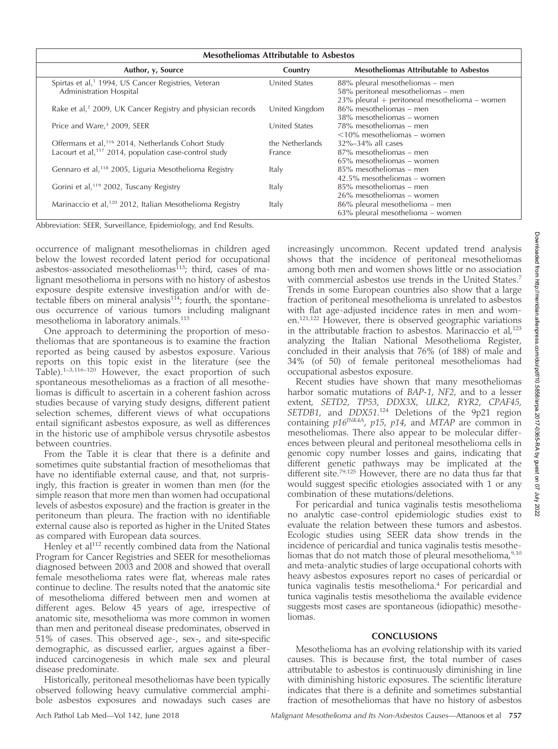| <b>Mesotheliomas Attributable to Asbestos</b>                                              |                      |                                                                                                                        |
|--------------------------------------------------------------------------------------------|----------------------|------------------------------------------------------------------------------------------------------------------------|
| Author, y, Source                                                                          | Country              | <b>Mesotheliomas Attributable to Asbestos</b>                                                                          |
| Spirtas et al, <sup>1</sup> 1994, US Cancer Registries, Veteran<br>Administration Hospital | United States        | 88% pleural mesotheliomas – men<br>58% peritoneal mesotheliomas - men<br>23% pleural + peritoneal mesothelioma - women |
| Rake et al, <sup>2</sup> 2009, UK Cancer Registry and physician records                    | United Kingdom       | $86\%$ mesotheliomas – men<br>38% mesotheliomas – women                                                                |
| Price and Ware, <sup>3</sup> 2009, SEER                                                    | <b>United States</b> | 78% mesotheliomas – men<br>$\leq 10\%$ mesotheliomas – women                                                           |
| Offermans et al, <sup>116</sup> 2014, Netherlands Cohort Study                             | the Netherlands      | 32%-34% all cases                                                                                                      |
| Lacourt et al, <sup>117</sup> 2014, population case-control study                          | France               | 87% mesotheliomas – men<br>65% mesotheliomas – women                                                                   |
| Gennaro et al, <sup>118</sup> 2005, Liguria Mesothelioma Registry                          | Italy                | 85% mesotheliomas – men<br>42.5% mesotheliomas – women                                                                 |
| Gorini et al, <sup>119</sup> 2002, Tuscany Registry                                        | Italy                | 85% mesotheliomas – men<br>26% mesotheliomas – women                                                                   |
| Marinaccio et al, <sup>120</sup> 2012, Italian Mesothelioma Registry                       | Italy                | 86% pleural mesothelioma - men<br>63% pleural mesothelioma - women                                                     |

Abbreviation: SEER, Surveillance, Epidemiology, and End Results.

occurrence of malignant mesotheliomas in children aged below the lowest recorded latent period for occupational asbestos-associated mesotheliomas<sup>113</sup>; third, cases of malignant mesothelioma in persons with no history of asbestos exposure despite extensive investigation and/or with detectable fibers on mineral analysis $114$ ; fourth, the spontaneous occurrence of various tumors including malignant mesothelioma in laboratory animals.115

One approach to determining the proportion of mesotheliomas that are spontaneous is to examine the fraction reported as being caused by asbestos exposure. Various reports on this topic exist in the literature (see the Table).<sup>1–3,116–120</sup> However, the exact proportion of such spontaneous mesotheliomas as a fraction of all mesotheliomas is difficult to ascertain in a coherent fashion across studies because of varying study designs, different patient selection schemes, different views of what occupations entail significant asbestos exposure, as well as differences in the historic use of amphibole versus chrysotile asbestos between countries.

From the Table it is clear that there is a definite and sometimes quite substantial fraction of mesotheliomas that have no identifiable external cause, and that, not surprisingly, this fraction is greater in women than men (for the simple reason that more men than women had occupational levels of asbestos exposure) and the fraction is greater in the peritoneum than pleura. The fraction with no identifiable external cause also is reported as higher in the United States as compared with European data sources.

Henley et al<sup>112</sup> recently combined data from the National Program for Cancer Registries and SEER for mesotheliomas diagnosed between 2003 and 2008 and showed that overall female mesothelioma rates were flat, whereas male rates continue to decline. The results noted that the anatomic site of mesothelioma differed between men and women at different ages. Below 45 years of age, irrespective of anatomic site, mesothelioma was more common in women than men and peritoneal disease predominates, observed in 51% of cases. This observed age-, sex-, and site-specific demographic, as discussed earlier, argues against a fiberinduced carcinogenesis in which male sex and pleural disease predominate.

Historically, peritoneal mesotheliomas have been typically observed following heavy cumulative commercial amphibole asbestos exposures and nowadays such cases are

increasingly uncommon. Recent updated trend analysis shows that the incidence of peritoneal mesotheliomas among both men and women shows little or no association with commercial asbestos use trends in the United States.<sup>7</sup> Trends in some European countries also show that a large fraction of peritoneal mesothelioma is unrelated to asbestos with flat age-adjusted incidence rates in men and women.<sup>121,122</sup> However, there is observed geographic variations in the attributable fraction to asbestos. Marinaccio et al, $123$ analyzing the Italian National Mesothelioma Register, concluded in their analysis that 76% (of 188) of male and 34% (of 50) of female peritoneal mesotheliomas had occupational asbestos exposure.

Recent studies have shown that many mesotheliomas harbor somatic mutations of BAP-1, NF2, and to a lesser extent, SETD2, TP53, DDX3X, ULK2, RYR2, CPAF45, SETDB1, and DDX51.<sup>124</sup> Deletions of the 9p21 region containing  $p16^{INK4A}$ ,  $p15$ ,  $p14$ , and MTAP are common in mesotheliomas. There also appear to be molecular differences between pleural and peritoneal mesothelioma cells in genomic copy number losses and gains, indicating that different genetic pathways may be implicated at the different site.<sup>79,125</sup> However, there are no data thus far that would suggest specific etiologies associated with 1 or any combination of these mutations/deletions.

For pericardial and tunica vaginalis testis mesothelioma no analytic case-control epidemiologic studies exist to evaluate the relation between these tumors and asbestos. Ecologic studies using SEER data show trends in the incidence of pericardial and tunica vaginalis testis mesotheliomas that do not match those of pleural mesothelioma, 9,10 and meta-analytic studies of large occupational cohorts with heavy asbestos exposures report no cases of pericardial or tunica vaginalis testis mesothelioma.<sup>4</sup> For pericardial and tunica vaginalis testis mesothelioma the available evidence suggests most cases are spontaneous (idiopathic) mesotheliomas.

# **CONCLUSIONS**

Mesothelioma has an evolving relationship with its varied causes. This is because first, the total number of cases attributable to asbestos is continuously diminishing in line with diminishing historic exposures. The scientific literature indicates that there is a definite and sometimes substantial fraction of mesotheliomas that have no history of asbestos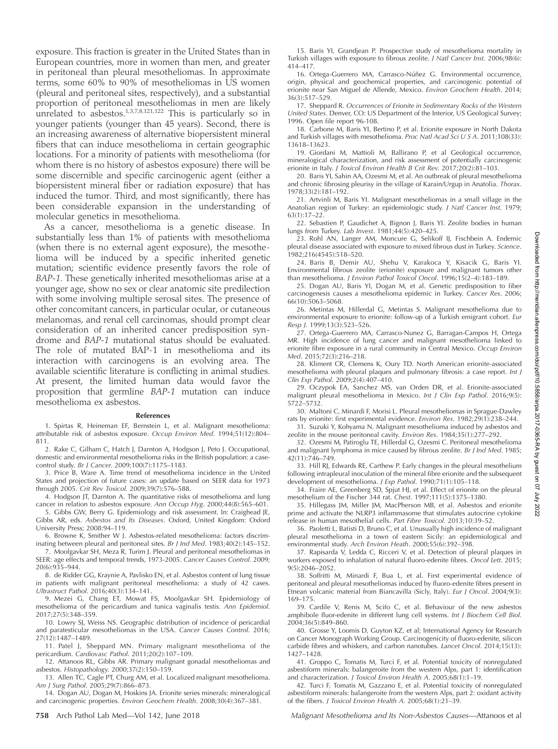exposure. This fraction is greater in the United States than in European countries, more in women than men, and greater in peritoneal than pleural mesotheliomas. In approximate terms, some 60% to 90% of mesotheliomas in US women (pleural and peritoneal sites, respectively), and a substantial proportion of peritoneal mesotheliomas in men are likely unrelated to asbestos.<sup>1,3,7,8,121,122</sup> This is particularly so in younger patients (younger than 45 years). Second, there is an increasing awareness of alternative biopersistent mineral fibers that can induce mesothelioma in certain geographic locations. For a minority of patients with mesothelioma (for whom there is no history of asbestos exposure) there will be some discernible and specific carcinogenic agent (either a biopersistent mineral fiber or radiation exposure) that has induced the tumor. Third, and most significantly, there has been considerable expansion in the understanding of molecular genetics in mesothelioma.

As a cancer, mesothelioma is a genetic disease. In substantially less than 1% of patients with mesothelioma (when there is no external agent exposure), the mesothelioma will be induced by a specific inherited genetic mutation; scientific evidence presently favors the role of BAP-1. These genetically inherited mesotheliomas arise at a younger age, show no sex or clear anatomic site predilection with some involving multiple serosal sites. The presence of other concomitant cancers, in particular ocular, or cutaneous melanomas, and renal cell carcinomas, should prompt clear consideration of an inherited cancer predisposition syndrome and BAP-1 mutational status should be evaluated. The role of mutated BAP-1 in mesothelioma and its interaction with carcinogens is an evolving area. The available scientific literature is conflicting in animal studies. At present, the limited human data would favor the proposition that germline BAP-1 mutation can induce mesothelioma ex asbestos.

#### References

1. Spirtas R, Heineman EF, Bernstein L, et al. Malignant mesothelioma: attributable risk of asbestos exposure. Occup Environ Med. 1994;51(12):804– 811.

2. Rake C, Gilham C, Hatch J, Darnton A, Hodgson J, Peto J. Occupational, domestic and environmental mesothelioma risks in the British population: a casecontrol study. Br J Cancer. 2009;100(7):1175–1183.

3. Price B, Ware A. Time trend of mesothelioma incidence in the United States and projection of future cases: an update based on SEER data for 1973 through 2005. Crit Rev Toxicol. 2009;39(7):576–588.

4. Hodgson JT, Darnton A. The quantitative risks of mesothelioma and lung cancer in relation to asbestos exposure. Ann Occup Hyg. 2000;44(8):565–601.

5. Gibbs GW, Berry G. Epidemiology and risk assessment. In: Craighead JE, Gibbs AR, eds. Asbestos and Its Diseases. Oxford, United Kingdom: Oxford University Press; 2008:94–119.

6. Browne K, Smither W J. Asbestos-related mesothelioma: factors discriminating between pleural and peritoneal sites. Br J Ind Med. 1983;40(2):145–152.

7. Moolgavkar SH, Meza R, Turim J. Pleural and peritoneal mesotheliomas in SEER: age effects and temporal trends, 1973-2005. Cancer Causes Control. 2009; 20(6):935–944.

8. de Ridder GG, Kraynie A, Pavlisko EN, et al. Asbestos content of lung tissue in patients with malignant peritoneal mesothelioma: a study of 42 cases. Ultrastruct Pathol. 2016;40(3):134–141.

9. Mezei G, Chang ET, Mowat FS, Moolgavkar SH. Epidemiology of mesothelioma of the pericardium and tunica vaginalis testis. Ann Epidemiol. 2017;27(5):348–359.

10. Lowry SJ, Weiss NS. Geographic distribution of incidence of pericardial and paratesticular mesotheliomas in the USA. Cancer Causes Control. 2016; 27(12):1487–1489.

11. Patel J, Sheppard MN. Primary malignant mesothelioma of the pericardium. Cardiovasc Pathol. 2011;20(2):107-109.

12. Attanoos RL, Gibbs AR. Primary malignant gonadal mesotheliomas and asbestos. *Histopathology*. 2000;37(2):150–159. asbestos. Histopathology. 2000;37(2):150–159.

13. Allen TC, Cagle PT, Churg AM, et al. Localized malignant mesothelioma. Am J Surg Pathol. 2005;29(7):866–873.

14. Dogan AU, Dogan M, Hoskins JA. Erionite series minerals: mineralogical and carcinogenic properties. Environ Geochem Health. 2008;30(4):367–381.

15. Baris YI, Grandjean P. Prospective study of mesothelioma mortality in Turkish villages with exposure to fibrous zeolite. J Natl Cancer Inst. 2006;98(6): 414–417.

16. Ortega-Guerrero MA, Carrasco-Núñez G. Environmental occurrence, origin, physical and geochemical properties, and carcinogenic potential of erionite near San Miguel de Allende, Mexico. Environ Geochem Health. 2014; 36(3):517–529.

17. Sheppard R. Occurrences of Erionite in Sedimentary Rocks of the Western United States. Denver, CO: US Department of the Interior, US Geological Survey; 1996. Open file report 96-108.

18. Carbone M, Baris YI, Bertino P, et al. Erionite exposure in North Dakota and Turkish villages with mesothelioma. Proc Natl Acad Sci U S A. 2011;108(33): 13618–13623.

19. Giordani M, Mattioli M, Ballirano P, et al Geological occurrence, mineralogical characterization, and risk assessment of potentially carcinogenic erionite in Italy. J Toxicol Environ Health B Crit Rev. 2017;20(2):81–103.

20. Baris YI, Sahin AA, Ozesmi M, et al. An outbreak of pleural mesothelioma and chronic fibrosing pleurisy in the village of Karain/Urgup in Anatolia. Thorax. 1978;33(2):181–192.

21. Artvinli M, Baris YI. Malignant mesotheliomas in a small village in the Anatolian region of Turkey: an epidemiologic study. J Natl Cancer Inst. 1979; 63(1):17–22.

22. Sebastien P, Gaudichet A, Bignon J, Baris YI. Zeolite bodies in human lungs from Turkey. Lab Invest. 1981;44(5):420–425.

23. Rohl AN, Langer AM, Moncure G, Selikoff IJ, Fischbein A. Endemic pleural disease associated with exposure to mixed fibrous dust in Turkey. Science. 1982;216(4545):518–520.

24. Baris B, Demir AU, Shehu V, Karakoca Y, Kisacik G, Baris YI. Environmental fibrous zeolite (erionite) exposure and malignant tumors other than mesothelioma. J Environ Pathol Toxicol Oncol. 1996;15(2–4):183–189.

25. Dogan AU, Baris YI, Dogan M, et al. Genetic predisposition to fiber carcinogenesis causes a mesothelioma epidemic in Turkey. Cancer Res. 2006; 66(10):5063–5068.

26. Metintas M, Hillerdal G, Metintas S. Malignant mesothelioma due to environmental exposure to erionite: follow-up of a Turkish emigrant cohort. Eur Resp J. 1999;13(3):523–526.

27. Ortega-Guerrero MA, Carrasco-Nunez G, Barragan-Campos H, Ortega MR. High incidence of lung cancer and malignant mesothelioma linked to erionite fibre exposure in a rural community in Central Mexico. Occup Environ Med. 2015;72(3):216–218.

28. Kliment CR, Clemens K, Oury TD. North American erionite-associated mesothelioma with pleural plaques and pulmonary fibrosis: a case report. Int J Clin Exp Pathol. 2009;2(4):407–410.

29. Oczypok EA, Sanchez MS, van Orden DR, et al. Erionite-associated malignant pleural mesothelioma in Mexico. Int J Clin Exp Pathol. 2016;9(5): 5722–5732.

30. Maltoni C, Minardi F, Morisi L. Pleural mesotheliomas in Sprague-Dawley rats by erionite: first experimental evidence. Environ Res. 1982;29(1):238–244.

31. Suzuki Y, Kohyama N. Malignant mesothelioma induced by asbestos and zeolite in the mouse peritoneal cavity. Environ Res. 1984;35(1):277–292.

32. Ozesmi M, Patiroglu TE, Hillerdal G, Ozesmi C. Peritoneal mesothelioma and malignant lymphoma in mice caused by fibrous zeolite. Br J Ind Med. 1985; 42(11):746–749.

33. Hill RJ, Edwards RE, Carthew P. Early changes in the pleural mesothelium following intrapleural inoculation of the mineral fibre erionite and the subsequent development of mesothelioma. J Exp Pathol. 1990;71(1):105–118.

34. Fraire AE, Greenberg SD, Spjut HJ, et al. Effect of erionite on the pleural mesothelium of the Fischer 344 rat. Chest. 1997;111(5):1375–1380.

35. Hillegass JM, Miller JM, MacPherson MB, et al. Asbestos and erionite prime and activate the NLRP3 inflammasome that stimulates autocrine cytokine release in human mesothelial cells. Part Fibre Toxicol. 2013;10:39–52.

36. Paoletti L, Batisti D, Bruno C, et al. Unusually high incidence of malignant pleural mesothelioma in a town of eastern Sicily: an epidemiological and environmental study. Arch Environ Heath. 2000;55(6):392–398.

37. Rapisarda V, Ledda C, Ricceri V, et al. Detection of pleural plaques in workers exposed to inhalation of natural fluoro-edenite fibres. Oncol Lett. 2015; 9(5):2046–2052.

38. Soffritti M, Minardi F, Bua L, et al. First experimental evidence of peritoneal and pleural mesotheliomas induced by fluoro-edenite fibres present in Etnean volcanic material from Biancavilla (Sicly, Italy). Eur J Oncol. 2004;9(3): 169–175.

39. Cardile V, Renis M, Scifo C, et al. Behaviour of the new asbestos amphibole fluor-edenite in different lung cell systems. Int J Biochem Cell Biol. 2004;36(5):849–860.

40. Grosse Y, Loomis D, Guyton KZ, et al; International Agency for Research on Cancer Monograph Working Group. Carcinogenicity of fluoro-edenite, silicon carbide fibres and whiskers, and carbon nanotubes. Lancet Oncol. 2014;15(13): 1427–1428.

41. Groppo C, Tomatis M, Turci F, et al. Potential toxicity of nonregulated asbestiform minerals: balangeroite from the western Alps, part 1: identification and characterization. J Toxicol Environ Health A. 2005;68(1):1–19.

42. Turci F, Tomatis M, Gazzano E, et al. Potential toxicity of nonregulated asbestiform minerals: balangeroite from the western Alps, part 2: oxidant activity of the fibers. J Toxicol Environ Health A. 2005;68(1):21–39.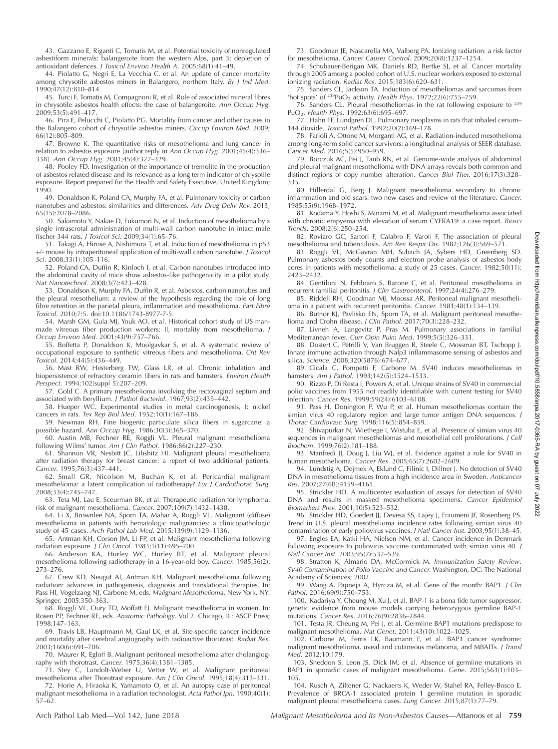43. Gazzano E, Riganti C, Tomatis M, et al. Potential toxicity of nonregulated asbestiform minerals: balangeroite from the western Alps, part 3: depletion of antioxidant defences. J Toxicol Environ Health A. 2005;68(1):41–49.

44. Piolatto G, Negri E, La Vecchia C, et al. An update of cancer mortality among chrysotile asbestos miners in Balangero, northern Italy. Br J Ind Med. 1990;47(12):810–814.

45. Turci F, Tomatis M, Compagnoni R, et al. Role of associated mineral fibres in chrysotile asbestos health effects: the case of balangeroite. Ann Occup Hyg. 2009;53(5):491–417.

46. Pira E, Pelucchi C, Piolatto PG. Mortality from cancer and other causes in the Balangero cohort of chrysotile asbestos miners. Occup Environ Med. 2009; 66(12):805–809.

47. Browne K. The quantitative risks of mesothelioma and lung cancer in relation to asbestos exposure [author reply in Ann Occup Hyg. 2001;45(4):336– 338]. Ann Occup Hyg. 2001;45(4):327–329.

48. Pooley FD. Investigation of the importance of tremolite in the production of asbestos related disease and its relevance as a long term indicator of chrysotile exposure. Report prepared for the Health and Safety Executive, United Kingdom; 1990.

49. Donaldson K, Poland CA, Murphy FA, et al. Pulmonary toxicity of carbon nanotubes and asbestos: similarities and differences. Adv Drug Deliv Rev. 2013; 65(15):2078–2086.

50. Sakamoto Y, Nakae D, Fukumori N, et al. Induction of mesothelioma by a single intrascrotal administration of multi-wall carbon nanotube in intact male fischer 344 rats. J Toxicol Sci. 2009;34(1):65–76.

51. Takagi A, Hirose A, Nishimura T, et al. Induction of mesothelioma in p53 þ/- mouse by intraperitoneal application of multi-wall carbon nanotube. J Toxicol Sci. 2008;33(1):105–116.

52. Poland CA, Duffin R, Kinloch I, et al. Carbon nanotubes introduced into the abdominal cavity of mice show asbestos-like pathogenicity in a pilot study. Nat Nanotechnol. 2008;3(7):423–428.

53. Donaldson K, Murphy FA, Duffin R, et al. Asbestos, carbon nanotubes and the pleural mesothelium: a review of the hypothesis regarding the role of long fibre retention in the parietal pleura, inflammation and mesothelioma. Part Fibre Toxicol. 2010;7:5. doi:10.1186/1743-8977-7-5.

54. Marsh GM, Gula MJ, Youk AO, et al. Historical cohort study of US manmade vitreous fiber production workers: II, mortality from mesothelioma. J Occup Environ Med. 2001;43(9):757–766.

55. Boffetta P, Donaldson K, Moolgavkar S, et al. A systematic review of occupational exposure to synthetic vitreous fibers and mesothelioma. Crit Rev Toxicol. 2014;44(5):436–449.

56. Mast RW, Hesterberg TW, Glass LR, et al. Chronic inhalation and biopersistence of refractory ceramin fibers in rats and hamsters. Environ Health Perspect. 1994;102(suppl 5):207–209.

57. Gold C. A primary mesothelioma involving the rectovaginal septum and associated with beryllium. J Pathol Bacteriol. 1967;93(2):435–442.

58. Hueper WC. Experimental studies in metal carcinogenesis, I: nickel cancers in rats. Tex Rep Biol Med. 1952;10(1):167–186.

59. Newman RH. Fine biogenic particulate silica fibers in sugarcane: a

possible hazard. Ann Occup Hyg. 1986:30(3):365–370. 60. Austin MB, Fechner RE, Roggli VL. Pleural malignant mesothelioma following Wilms' tumor. Am J Clin Pathol. 1986;86(2):227–230.

61. Shannon VR, Nesbitt JC, Libshitz HI. Malignant pleural mesothelioma after radiation therapy for breast cancer: a report of two additional patients. Cancer. 1995;76(3):437–441.

62. Small GR, Nicolson M, Buchan K, et al. Pericardial malignant mesothelioma: a latent complication of radiotherapy? Eur J Cardiothorac Surg. 2008;33(4):745–747.

63. Teta MJ, Lau E, Sceurman BK, et al. Therapeutic radiation for lymphoma: risk of malignant mesothelioma. Cancer. 2007;109(7):1432–1438.

64. Li X, Brownlee NA, Sporn TA, Mahar A, Roggli VL. Malignant (diffuse) mesothelioma in patients with hematologic malignancies: a clinicopathologic study of 45 cases. Arch Pathol Lab Med. 2015;139(9):1129–1136.

65. Antman KH, Corson JM, Li FP, et al. Malignant mesothelioma following radiation exposure. J Clin Oncol. 1983;1(11):695–700.

66. Anderson KA, Hurley WC, Hurley BT, et al. Malignant pleural mesothelioma following radiotherapy in a 16-year-old boy. Cancer. 1985;56(2): 273–276.

67. Crew KD, Neugut AI, Antman KH. Malignant mesothelioma following radiation: advances in pathogenesis, diagnosis and translational therapies. In: Pass HI, Vogelzang NJ, Carbone M, eds. Malignant Mesothelioma. New York, NY: Springer; 2005:350–363.

68. Roggli VL, Oury TD, Moffatt EJ. Malignant mesothelioma in women. In: Rosen PP, Fechner RE, eds. Anatomic Pathology. Vol 2. Chicago, IL: ASCP Press; 1998:147–163.

69. Travis LB, Hauptmann M, Gaul LK, et al. Site-specific cancer incidence and mortality after cerebral angiography with radioactive thorotrast. Radiat Res. 2003;160(6):691–706.

70. Maurer R, Egloff B. Malignant peritoneal mesothelioma after cholangiography with thorotrast. Cancer. 1975;36(4):1381–1385.

71. Stey C, Landolt-Weber U, Vetter W, et al. Malignant peritoneal mesothelioma after Thorotrast exposure. Am J Clin Oncol. 1995;18(4):313–331.

72. Horie A, Hiraoka K, Yamamoto O, et al. An autopsy case of peritoneal malignant mesothelioma in a radiation technologist. Acta Pathol Jpn. 1990;40(1): 57–62.

73. Goodman JE, Nascarella MA, Valberg PA. Ionizing radiation: a risk factor for mesothelioma. Cancer Causes Control. 2009;20(8):1237–1254.

74. Schubauer-Berigan MK, Daniels RD, Bertke SJ, et al. Cancer mortality through 2005 among a pooled cohort of U.S. nuclear workers exposed to external ionizing radiation. Radiat Res. 2015;183(6):620–631.

75. Sanders CL, Jackson TA. Induction of mesotheliomas and sarcomas from 'hot spots' of  $^{239}PuO<sub>2</sub>$  activity. Health Phys. 1972;22(6):755-759.

76. Sanders CL. Pleural mesotheliomas in the rat following exposure to <sup>239</sup> PuO2. Health Phys. 1992;63(6):695–697.

77. Hahn FF, Lundgren DL. Pulmonary neoplasms in rats that inhaled cerium– 144 dioxide. Toxicol Pathol. 1992;20(2):169–178.

78. Farioli A, Ottone M, Morganti AG, et al. Radiation-induced mesothelioma among long-term solid cancer survivors: a longitudinal analysis of SEER database. Cancer Med. 2016;5(5):950–959.

79. Borczuk AC, Pei J, Taub RN, et al. Genome-wide analysis of abdominal and pleural malignant mesothelioma with DNA arrays reveals both common and distinct regions of copy number alteration. Cancer Biol Ther. 2016;17(3):328– 335.

80. Hillerdal G, Berg J. Malignant mesothelioma secondary to chronic inflammation and old scars: two new cases and review of the literature. Cancer. 1985;55(9):1968–1972.

81. Kodama Y, Hoshi S, Minami M, et al. Malignant mesothelioma associated with chronic empyema with elevation of serum CYFRA19: a case report. Biosci Trends. 2008;2(6):250–254.

82. Roviaro GC, Sartori F, Calabro F, Varoli F. The association of pleural mesothelioma and tuberculosis. Am Rev Respir Dis. 1982;126(3):569–571.

83. Roggli VL, McGavran MH, Subach JA, Sybers HD, Greenberg SD. Pulmonary asbestos body counts and electron probe analysis of asbestos body cores in patients with mesothelioma: a study of 25 cases. Cancer. 1982;50(11): 2423–2432.

84. Gentiloni N, Febbraro S, Barone C, et al. Peritoneal mesothelioma in recurrent familial peritonitis. J Clin Gastroenterol. 1997;24(4):276–279.

85. Riddell RH, Goodman MJ, Moossa AR. Peritoneal malignant mesothelioma in a patient with recurrent peritonitis. Cancer. 1981;48(1):134–139.

86. Butnor KJ, Pavlisko EN, Sporn TA, et al. Malignant peritoneal mesothelioma and Crohn disease. J Clin Pathol. 2017;70(3):228–232.

87. Livneh A, Langevitz P, Pras M. Pulmonary associations in familial Mediterranean fever. Curr Opin Pulm Med. 1999;5(5):326–331.

88. Dostert C, Petrilli V, Van Bruggen R, Steele C, Mossman BT, Tschopp J. Innate immune activation through Nalp3 inflammasome sensing of asbestos and silica. Science. 2008;320(5876):674–677.

89. Cicala C, Pompetti F, Carbone M. SV40 induces mesotheliomas in hamsters. Am J Pathol. 1993;142(5):1524–1533.

90. Rizzo P, Di Resta I, Powers A, et al. Unique strains of SV40 in commercial polio vaccines from 1955 not readily identifiable with current testing for SV40 infection. Cancer Res. 1999;59(24):6103–6108.

91. Pass H, Donington P, Wu P, et al. Human mesotheliomas contain the simian virus 40 regulatory region and large tumor antigen DNA sequences. J Thorac Cardiovasc Surg. 1998;116(5):854–859.

92. Shivapurkar N, Wiethege I, Wistuba E, et al. Presence of simian virus 40 sequences in malignant mesotheliomas and mesothelial cell proliferations. J Cell Biochem. 1999;76(2):181–188.

93. Manfredi JJ, Doug J, Liu WJ, et al. Evidence against a role for SV40 in human mesothelioma. Cancer Res. 2005;65(7):2602–2609.

94. Lundstig A, Dejmek A, Eklund C, Filinic I, Dillner J. No detection of SV40 DNA in mesothelioma tissues from a high incidence area in Sweden. Anticancer Res. 2007;27(6B):4159–4161.

95. Strickler HD. A multicenter evaluation of assays for detection of SV40 DNA and results in masked mesothelioma specimens. Cancer Epidemiol Biomarkers Prev. 2001;10(5):523–532.

96. Strickler HD, Goedert JJ, Devesa SS, Lajey J, Fraumeni JF, Rosenberg PS. Trend in U.S. pleural mesothelioma incidence rates following simian virus 40 contamination of early poliovirus vaccines. J Natl Cancer Inst. 2003;95(1):38–45.

97. Engles EA, Katki HA, Nielsen NM, et al. Cancer incidence in Denmark following exposure to poliovirus vaccine contaminated with simian virus 40. J Natl Cancer Inst. 2003;95(7):532–539.

98. Stratton K, Almario DA, McCormick M. Immunization Safety Review: SV40 Contamination of Polio Vaccine and Cancer. Washington, DC: The National Academy of Sciences; 2002.

99. Wang A, Papneja A, Hyrcza M, et al. Gene of the month: BAP1. J Clin Pathol. 2016;69(9):750–753.

100. Kadariya Y, Cheung M, Xu J, et al. BAP-1 is a bona fide tumor suppressor: genetic evidence from mouse models carrying heterozygous germline BAP-1 mutations. Cancer Res. 2016;76(9):2836–2844.

101. Testa JR, Cheung M, Pei J, et al. Germline BAP1 mutations predispose to malignant mesothelioma. Nat Genet. 2011;43(10):1022–1025.

102. Carbone M, Ferris LK, Baumann F, et al. BAP1 cancer syndrome: malignant mesothelioma, uveal and cutaneous melanoma, and MBAITs. J Transl Med. 2012;10:179.

103. Sneddon S, Leon JS, Dick IM, et al. Absence of germline mutations in BAP1 in sporadic cases of malignant mesothelioma. Gene. 2015;563(1):103– 105.

104. Rusch A, Ziltener G, Nackaerts K, Weder W, Stahel RA, Felley-Bosco E. Prevalence of BRCA-1 associated protein 1 germline mutation in sporadic malignant pleural mesothelioma cases. Lung Cancer. 2015;87(1):77–79.